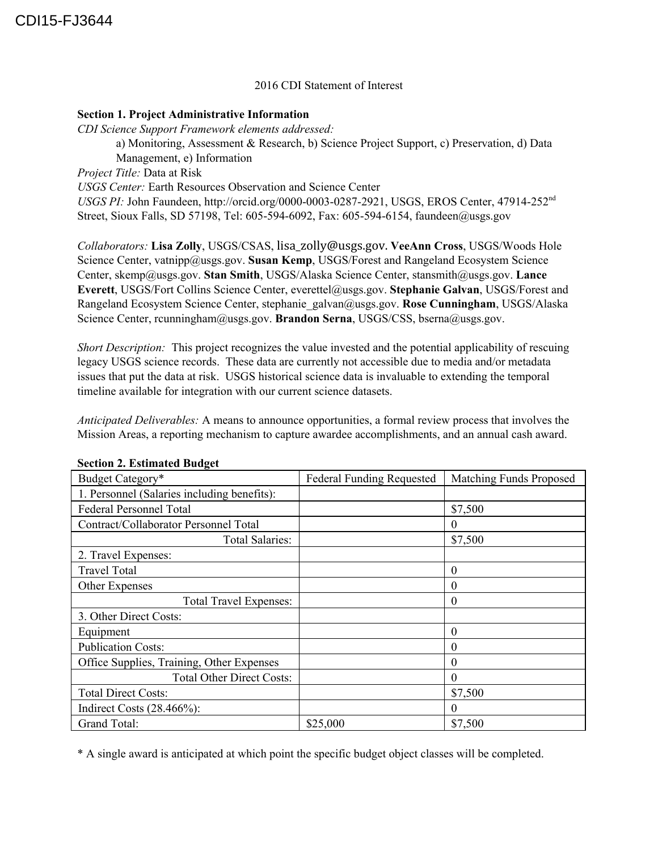## 2016 CDI Statement of Interest

#### **Section 1. Project Administrative Information**

*CDI Science Support Framework elements addressed:* a) Monitoring, Assessment & Research, b) Science Project Support, c) Preservation, d) Data Management, e) Information *Project Title:* Data at Risk *USGS Center:* Earth Resources Observation and Science Center USGS PI: John Faundeen, http://orcid.org/0000-0003-0287-2921, USGS, EROS Center, 47914-252<sup>nd</sup> Street, Sioux Falls, SD 57198, Tel: 605-594-6092, Fax: 605-594-6154, faundeen@usgs.gov

*Collaborators:* **Lisa Zolly**, USGS/CSAS, lisa\_zolly@usgs.gov. **VeeAnn Cross**, USGS/Woods Hole Science Center, vatnipp@usgs.gov. Susan Kemp, USGS/Forest and Rangeland Ecosystem Science Center, skemp@usgs.gov. **Stan Smith**, USGS/Alaska Science Center, stansmith@usgs.gov. **Lance Everett**, USGS/Fort Collins Science Center, everettel@usgs.gov. **Stephanie Galvan**, USGS/Forest and Rangeland Ecosystem Science Center, stephanie\_galvan@usgs.gov. **Rose Cunningham**,USGS/Alaska Science Center, rcunningham@usgs.gov. **Brandon Serna**,USGS/CSS, bserna@usgs.gov.

*Short Description:* This project recognizes the value invested and the potential applicability of rescuing legacy USGS science records. These data are currently not accessible due to media and/or metadata issues that put the data at risk. USGS historical science data is invaluable to extending the temporal timeline available for integration with our current science datasets.

*Anticipated Deliverables:* A means to announce opportunities, a formal review process that involves the Mission Areas, a reporting mechanism to capture awardee accomplishments, and an annual cash award.

| Budget Category*                            | <b>Federal Funding Requested</b> | Matching Funds Proposed |
|---------------------------------------------|----------------------------------|-------------------------|
| 1. Personnel (Salaries including benefits): |                                  |                         |
| <b>Federal Personnel Total</b>              |                                  | \$7,500                 |
| Contract/Collaborator Personnel Total       |                                  | $\theta$                |
| <b>Total Salaries:</b>                      |                                  | \$7,500                 |
| 2. Travel Expenses:                         |                                  |                         |
| Travel Total                                |                                  | $\theta$                |
| Other Expenses                              |                                  | 0                       |
| <b>Total Travel Expenses:</b>               |                                  | $\theta$                |
| 3. Other Direct Costs:                      |                                  |                         |
| Equipment                                   |                                  | $\theta$                |
| <b>Publication Costs:</b>                   |                                  | $\theta$                |
| Office Supplies, Training, Other Expenses   |                                  | 0                       |
| <b>Total Other Direct Costs:</b>            |                                  | $\theta$                |
| <b>Total Direct Costs:</b>                  |                                  | \$7,500                 |
| Indirect Costs $(28.466\%)$ :               |                                  | $\theta$                |
| Grand Total:                                | \$25,000                         | \$7,500                 |

# **Section 2. Estimated Budget**

\* A single award is anticipated at which point the specific budget object classes will be completed.